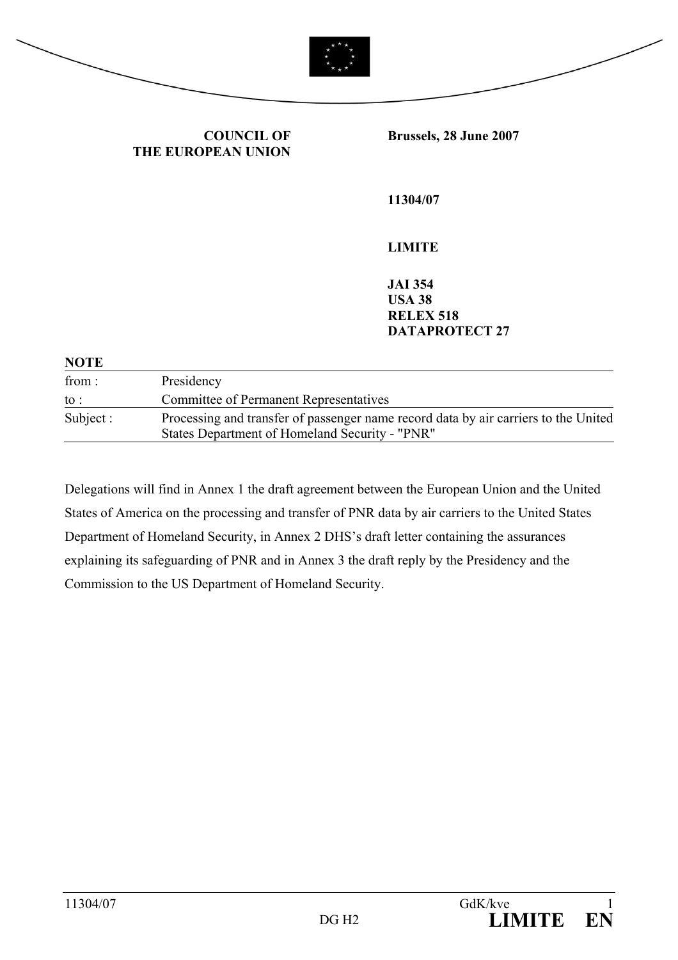

**COUNCIL OF THE EUROPEAN UNION** **Brussels, 28 June 2007** 

**11304/07** 

**LIMITE** 

**JAI 354 USA 38 RELEX 518 DATAPROTECT 27** 

#### **NOTE**

| from :    | Presidency                                                                                                                            |
|-----------|---------------------------------------------------------------------------------------------------------------------------------------|
| to :      | <b>Committee of Permanent Representatives</b>                                                                                         |
| Subject : | Processing and transfer of passenger name record data by air carriers to the United<br>States Department of Homeland Security - "PNR" |

Delegations will find in Annex 1 the draft agreement between the European Union and the United States of America on the processing and transfer of PNR data by air carriers to the United States Department of Homeland Security, in Annex 2 DHS's draft letter containing the assurances explaining its safeguarding of PNR and in Annex 3 the draft reply by the Presidency and the Commission to the US Department of Homeland Security.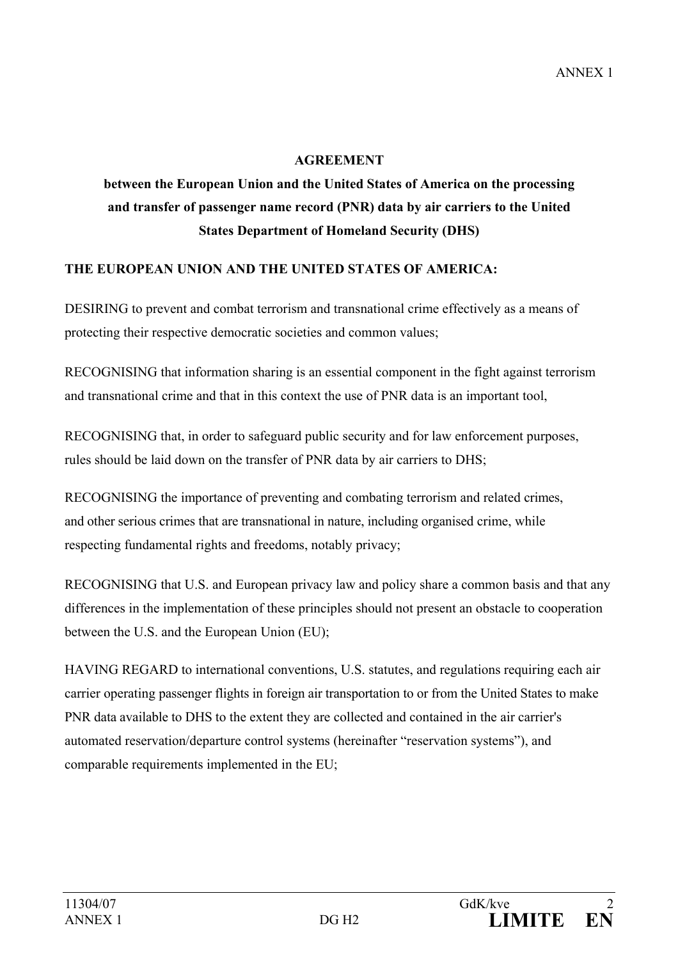#### **AGREEMENT**

# **between the European Union and the United States of America on the processing and transfer of passenger name record (PNR) data by air carriers to the United States Department of Homeland Security (DHS)**

#### **THE EUROPEAN UNION AND THE UNITED STATES OF AMERICA:**

DESIRING to prevent and combat terrorism and transnational crime effectively as a means of protecting their respective democratic societies and common values;

RECOGNISING that information sharing is an essential component in the fight against terrorism and transnational crime and that in this context the use of PNR data is an important tool,

RECOGNISING that, in order to safeguard public security and for law enforcement purposes, rules should be laid down on the transfer of PNR data by air carriers to DHS;

RECOGNISING the importance of preventing and combating terrorism and related crimes, and other serious crimes that are transnational in nature, including organised crime, while respecting fundamental rights and freedoms, notably privacy;

RECOGNISING that U.S. and European privacy law and policy share a common basis and that any differences in the implementation of these principles should not present an obstacle to cooperation between the U.S. and the European Union (EU);

HAVING REGARD to international conventions, U.S. statutes, and regulations requiring each air carrier operating passenger flights in foreign air transportation to or from the United States to make PNR data available to DHS to the extent they are collected and contained in the air carrier's automated reservation/departure control systems (hereinafter "reservation systems"), and comparable requirements implemented in the EU;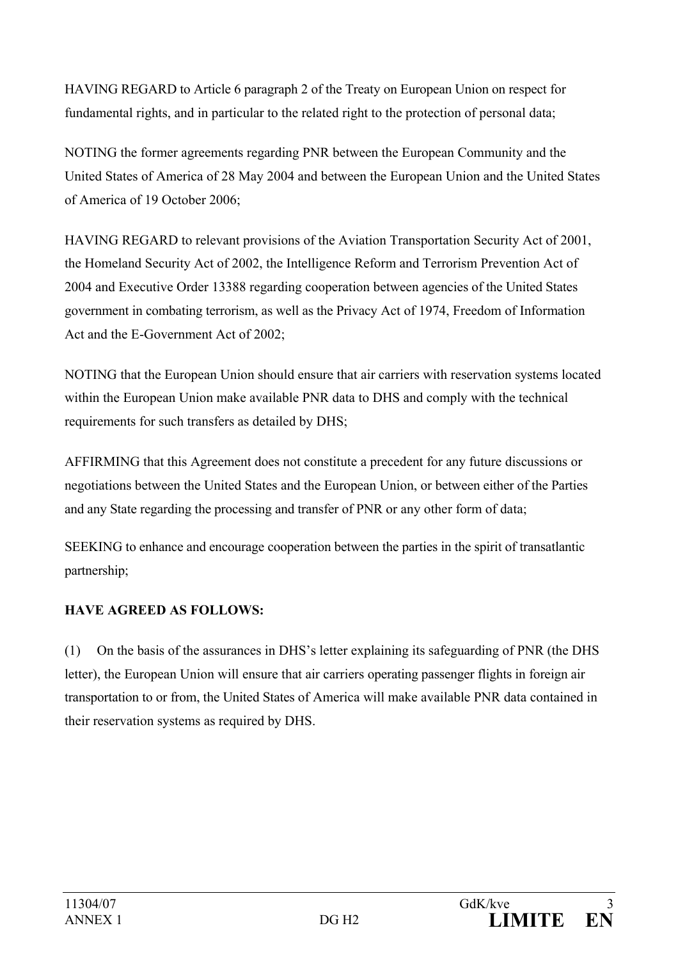HAVING REGARD to Article 6 paragraph 2 of the Treaty on European Union on respect for fundamental rights, and in particular to the related right to the protection of personal data;

NOTING the former agreements regarding PNR between the European Community and the United States of America of 28 May 2004 and between the European Union and the United States of America of 19 October 2006;

HAVING REGARD to relevant provisions of the Aviation Transportation Security Act of 2001, the Homeland Security Act of 2002, the Intelligence Reform and Terrorism Prevention Act of 2004 and Executive Order 13388 regarding cooperation between agencies of the United States government in combating terrorism, as well as the Privacy Act of 1974, Freedom of Information Act and the E-Government Act of 2002;

NOTING that the European Union should ensure that air carriers with reservation systems located within the European Union make available PNR data to DHS and comply with the technical requirements for such transfers as detailed by DHS;

AFFIRMING that this Agreement does not constitute a precedent for any future discussions or negotiations between the United States and the European Union, or between either of the Parties and any State regarding the processing and transfer of PNR or any other form of data;

SEEKING to enhance and encourage cooperation between the parties in the spirit of transatlantic partnership;

### **HAVE AGREED AS FOLLOWS:**

(1) On the basis of the assurances in DHS's letter explaining its safeguarding of PNR (the DHS letter), the European Union will ensure that air carriers operating passenger flights in foreign air transportation to or from, the United States of America will make available PNR data contained in their reservation systems as required by DHS.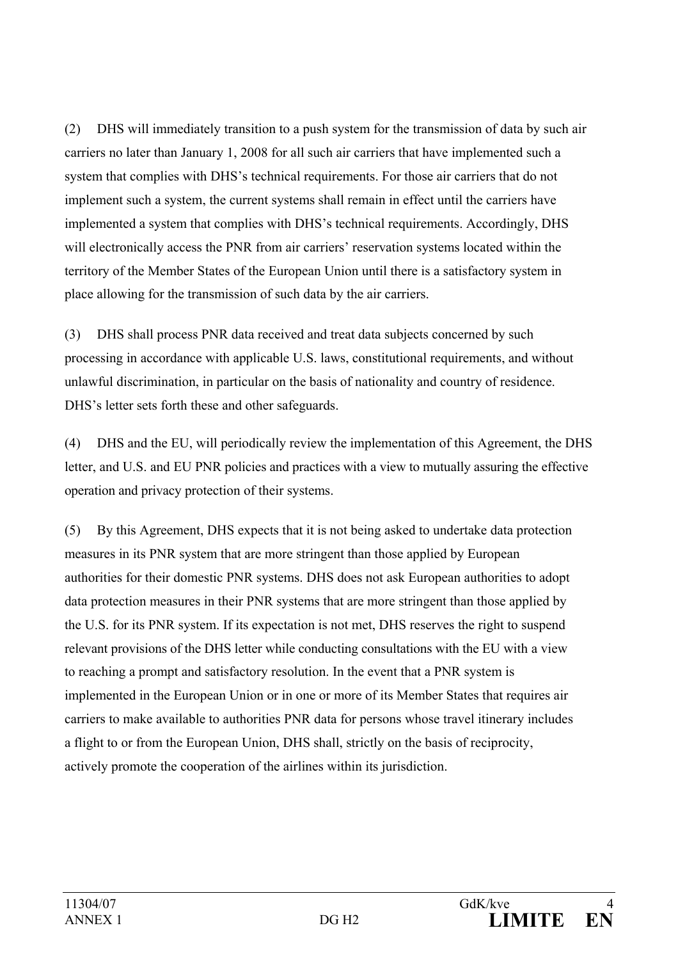(2) DHS will immediately transition to a push system for the transmission of data by such air carriers no later than January 1, 2008 for all such air carriers that have implemented such a system that complies with DHS's technical requirements. For those air carriers that do not implement such a system, the current systems shall remain in effect until the carriers have implemented a system that complies with DHS's technical requirements. Accordingly, DHS will electronically access the PNR from air carriers' reservation systems located within the territory of the Member States of the European Union until there is a satisfactory system in place allowing for the transmission of such data by the air carriers.

(3) DHS shall process PNR data received and treat data subjects concerned by such processing in accordance with applicable U.S. laws, constitutional requirements, and without unlawful discrimination, in particular on the basis of nationality and country of residence. DHS's letter sets forth these and other safeguards.

(4) DHS and the EU, will periodically review the implementation of this Agreement, the DHS letter, and U.S. and EU PNR policies and practices with a view to mutually assuring the effective operation and privacy protection of their systems.

(5) By this Agreement, DHS expects that it is not being asked to undertake data protection measures in its PNR system that are more stringent than those applied by European authorities for their domestic PNR systems. DHS does not ask European authorities to adopt data protection measures in their PNR systems that are more stringent than those applied by the U.S. for its PNR system. If its expectation is not met, DHS reserves the right to suspend relevant provisions of the DHS letter while conducting consultations with the EU with a view to reaching a prompt and satisfactory resolution. In the event that a PNR system is implemented in the European Union or in one or more of its Member States that requires air carriers to make available to authorities PNR data for persons whose travel itinerary includes a flight to or from the European Union, DHS shall, strictly on the basis of reciprocity, actively promote the cooperation of the airlines within its jurisdiction.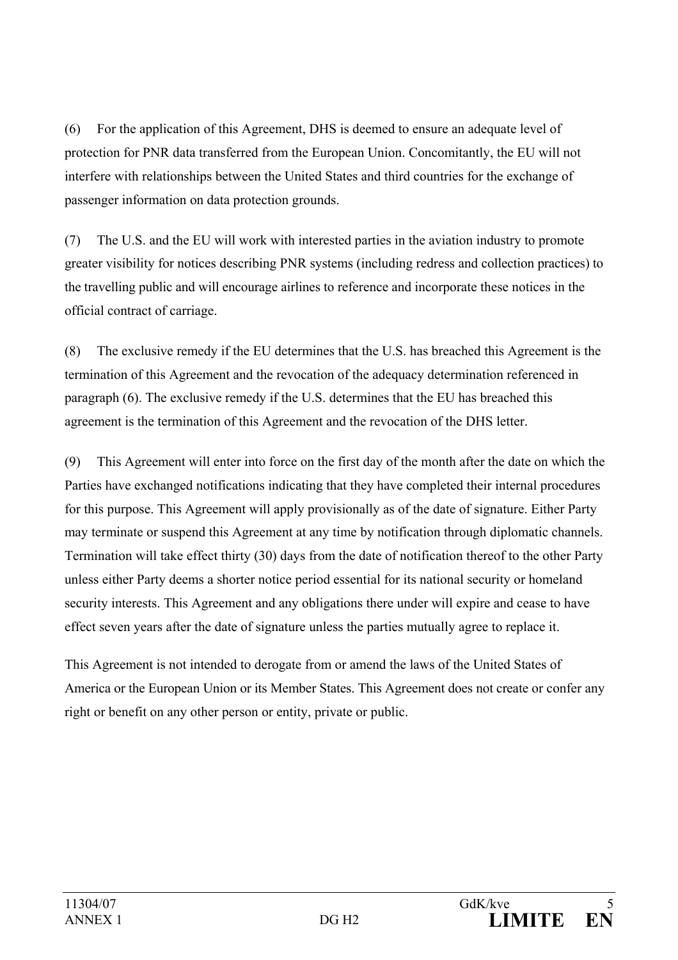(6) For the application of this Agreement, DHS is deemed to ensure an adequate level of protection for PNR data transferred from the European Union. Concomitantly, the EU will not interfere with relationships between the United States and third countries for the exchange of passenger information on data protection grounds.

(7) The U.S. and the EU will work with interested parties in the aviation industry to promote greater visibility for notices describing PNR systems (including redress and collection practices) to the travelling public and will encourage airlines to reference and incorporate these notices in the official contract of carriage.

(8) The exclusive remedy if the EU determines that the U.S. has breached this Agreement is the termination of this Agreement and the revocation of the adequacy determination referenced in paragraph (6). The exclusive remedy if the U.S. determines that the EU has breached this agreement is the termination of this Agreement and the revocation of the DHS letter.

(9) This Agreement will enter into force on the first day of the month after the date on which the Parties have exchanged notifications indicating that they have completed their internal procedures for this purpose. This Agreement will apply provisionally as of the date of signature. Either Party may terminate or suspend this Agreement at any time by notification through diplomatic channels. Termination will take effect thirty (30) days from the date of notification thereof to the other Party unless either Party deems a shorter notice period essential for its national security or homeland security interests. This Agreement and any obligations there under will expire and cease to have effect seven years after the date of signature unless the parties mutually agree to replace it.

This Agreement is not intended to derogate from or amend the laws of the United States of America or the European Union or its Member States. This Agreement does not create or confer any right or benefit on any other person or entity, private or public.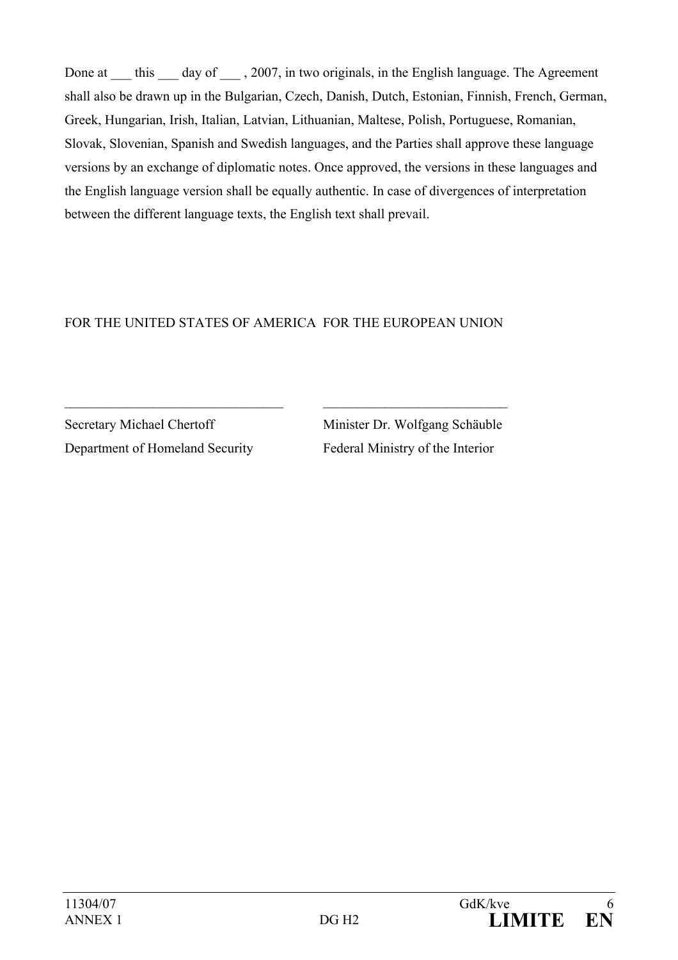Done at this day of , 2007, in two originals, in the English language. The Agreement shall also be drawn up in the Bulgarian, Czech, Danish, Dutch, Estonian, Finnish, French, German, Greek, Hungarian, Irish, Italian, Latvian, Lithuanian, Maltese, Polish, Portuguese, Romanian, Slovak, Slovenian, Spanish and Swedish languages, and the Parties shall approve these language versions by an exchange of diplomatic notes. Once approved, the versions in these languages and the English language version shall be equally authentic. In case of divergences of interpretation between the different language texts, the English text shall prevail.

## FOR THE UNITED STATES OF AMERICA FOR THE EUROPEAN UNION

 $\_$  , and the contribution of the contribution of  $\mathcal{L}_\mathcal{L}$  , and the contribution of  $\mathcal{L}_\mathcal{L}$ 

Secretary Michael Chertoff Minister Dr. Wolfgang Schäuble Department of Homeland Security Federal Ministry of the Interior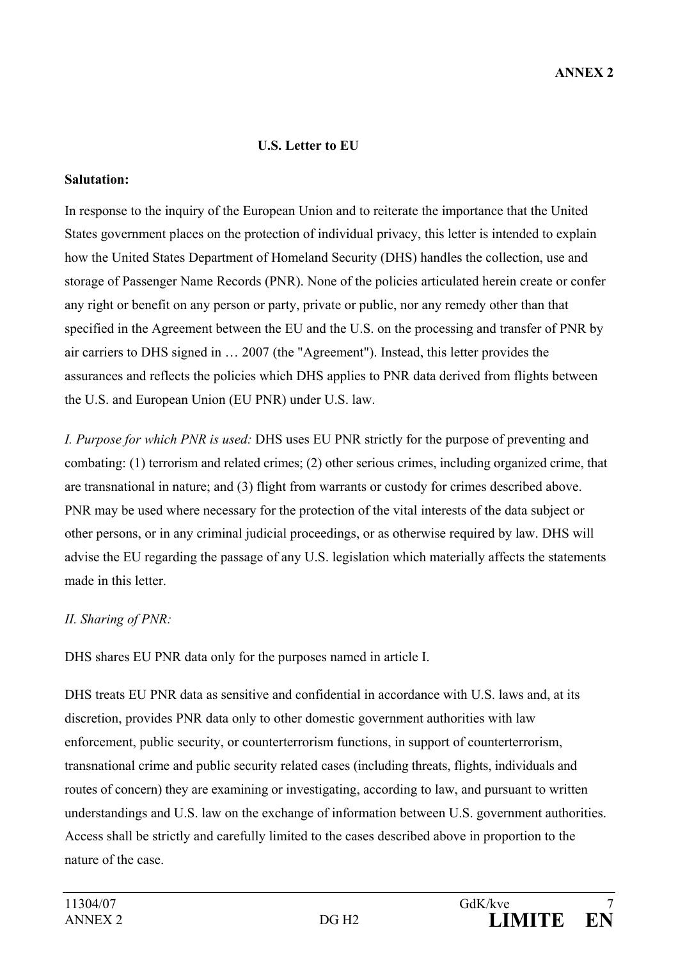#### **U.S. Letter to EU**

#### **Salutation:**

In response to the inquiry of the European Union and to reiterate the importance that the United States government places on the protection of individual privacy, this letter is intended to explain how the United States Department of Homeland Security (DHS) handles the collection, use and storage of Passenger Name Records (PNR). None of the policies articulated herein create or confer any right or benefit on any person or party, private or public, nor any remedy other than that specified in the Agreement between the EU and the U.S. on the processing and transfer of PNR by air carriers to DHS signed in … 2007 (the "Agreement"). Instead, this letter provides the assurances and reflects the policies which DHS applies to PNR data derived from flights between the U.S. and European Union (EU PNR) under U.S. law.

*I. Purpose for which PNR is used:* DHS uses EU PNR strictly for the purpose of preventing and combating: (1) terrorism and related crimes; (2) other serious crimes, including organized crime, that are transnational in nature; and (3) flight from warrants or custody for crimes described above. PNR may be used where necessary for the protection of the vital interests of the data subject or other persons, or in any criminal judicial proceedings, or as otherwise required by law. DHS will advise the EU regarding the passage of any U.S. legislation which materially affects the statements made in this letter.

#### *II. Sharing of PNR:*

DHS shares EU PNR data only for the purposes named in article I.

DHS treats EU PNR data as sensitive and confidential in accordance with U.S. laws and, at its discretion, provides PNR data only to other domestic government authorities with law enforcement, public security, or counterterrorism functions, in support of counterterrorism, transnational crime and public security related cases (including threats, flights, individuals and routes of concern) they are examining or investigating, according to law, and pursuant to written understandings and U.S. law on the exchange of information between U.S. government authorities. Access shall be strictly and carefully limited to the cases described above in proportion to the nature of the case.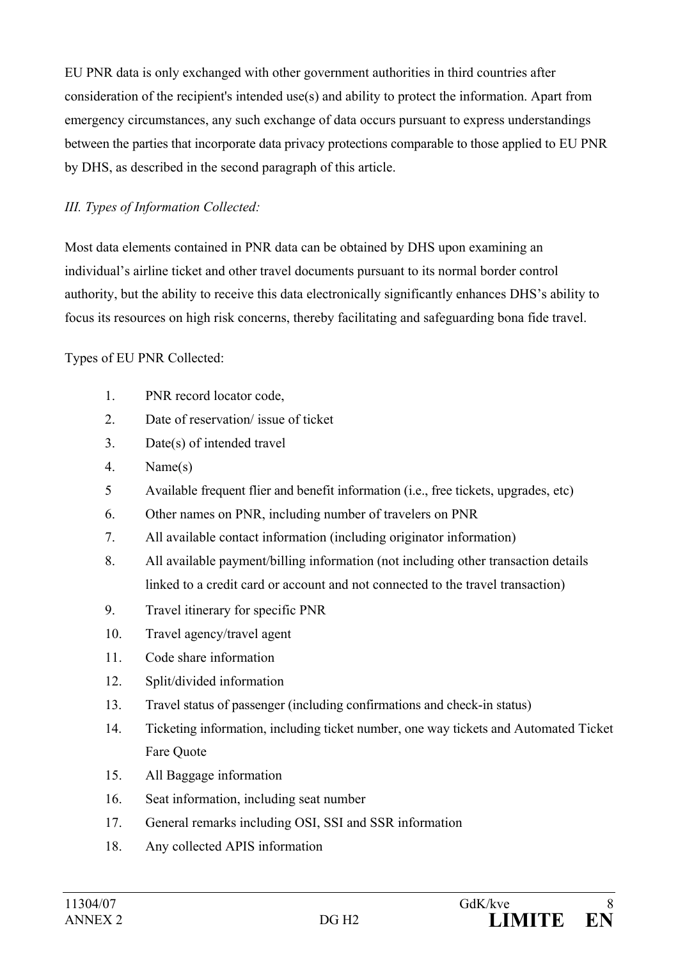EU PNR data is only exchanged with other government authorities in third countries after consideration of the recipient's intended use(s) and ability to protect the information. Apart from emergency circumstances, any such exchange of data occurs pursuant to express understandings between the parties that incorporate data privacy protections comparable to those applied to EU PNR by DHS, as described in the second paragraph of this article.

### *III. Types of Information Collected:*

Most data elements contained in PNR data can be obtained by DHS upon examining an individual's airline ticket and other travel documents pursuant to its normal border control authority, but the ability to receive this data electronically significantly enhances DHS's ability to focus its resources on high risk concerns, thereby facilitating and safeguarding bona fide travel.

Types of EU PNR Collected:

- 1. PNR record locator code,
- 2. Date of reservation/ issue of ticket
- 3. Date(s) of intended travel
- 4. Name(s)
- 5 Available frequent flier and benefit information (i.e., free tickets, upgrades, etc)
- 6. Other names on PNR, including number of travelers on PNR
- 7. All available contact information (including originator information)
- 8. All available payment/billing information (not including other transaction details linked to a credit card or account and not connected to the travel transaction)
- 9. Travel itinerary for specific PNR
- 10. Travel agency/travel agent
- 11. Code share information
- 12. Split/divided information
- 13. Travel status of passenger (including confirmations and check-in status)
- 14. Ticketing information, including ticket number, one way tickets and Automated Ticket Fare Quote
- 15. All Baggage information
- 16. Seat information, including seat number
- 17. General remarks including OSI, SSI and SSR information
- 18. Any collected APIS information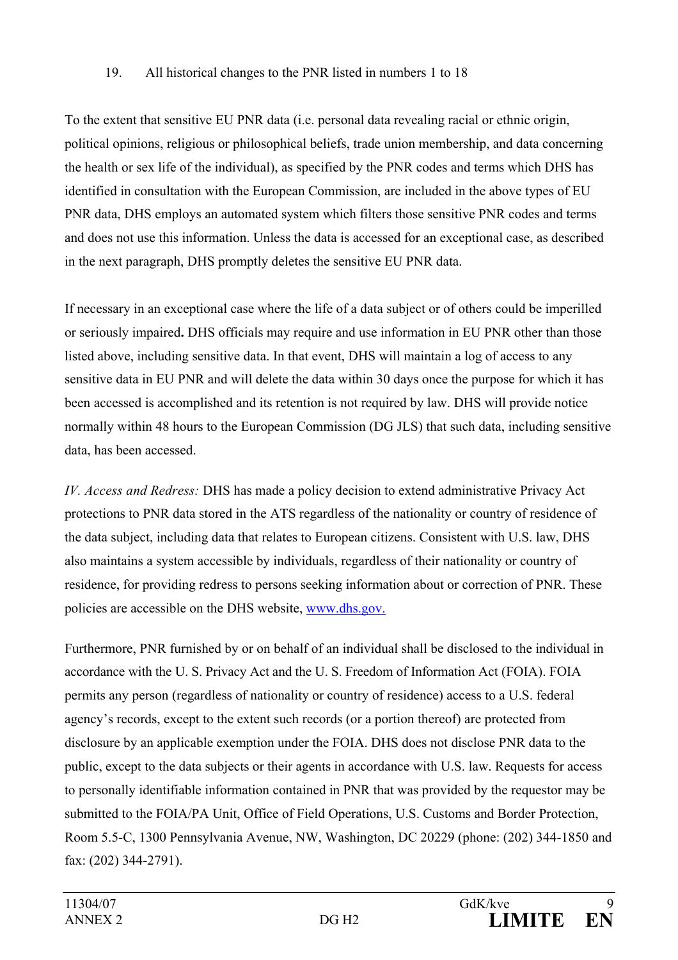#### 19. All historical changes to the PNR listed in numbers 1 to 18

To the extent that sensitive EU PNR data (i.e. personal data revealing racial or ethnic origin, political opinions, religious or philosophical beliefs, trade union membership, and data concerning the health or sex life of the individual), as specified by the PNR codes and terms which DHS has identified in consultation with the European Commission, are included in the above types of EU PNR data, DHS employs an automated system which filters those sensitive PNR codes and terms and does not use this information. Unless the data is accessed for an exceptional case, as described in the next paragraph, DHS promptly deletes the sensitive EU PNR data.

If necessary in an exceptional case where the life of a data subject or of others could be imperilled or seriously impaired**.** DHS officials may require and use information in EU PNR other than those listed above, including sensitive data. In that event, DHS will maintain a log of access to any sensitive data in EU PNR and will delete the data within 30 days once the purpose for which it has been accessed is accomplished and its retention is not required by law. DHS will provide notice normally within 48 hours to the European Commission (DG JLS) that such data, including sensitive data, has been accessed.

*IV. Access and Redress:* DHS has made a policy decision to extend administrative Privacy Act protections to PNR data stored in the ATS regardless of the nationality or country of residence of the data subject, including data that relates to European citizens. Consistent with U.S. law, DHS also maintains a system accessible by individuals, regardless of their nationality or country of residence, for providing redress to persons seeking information about or correction of PNR. These policies are accessible on the DHS website, www.dhs.gov.

Furthermore, PNR furnished by or on behalf of an individual shall be disclosed to the individual in accordance with the U. S. Privacy Act and the U. S. Freedom of Information Act (FOIA). FOIA permits any person (regardless of nationality or country of residence) access to a U.S. federal agency's records, except to the extent such records (or a portion thereof) are protected from disclosure by an applicable exemption under the FOIA. DHS does not disclose PNR data to the public, except to the data subjects or their agents in accordance with U.S. law. Requests for access to personally identifiable information contained in PNR that was provided by the requestor may be submitted to the FOIA/PA Unit, Office of Field Operations, U.S. Customs and Border Protection, Room 5.5-C, 1300 Pennsylvania Avenue, NW, Washington, DC 20229 (phone: (202) 344-1850 and fax: (202) 344-2791).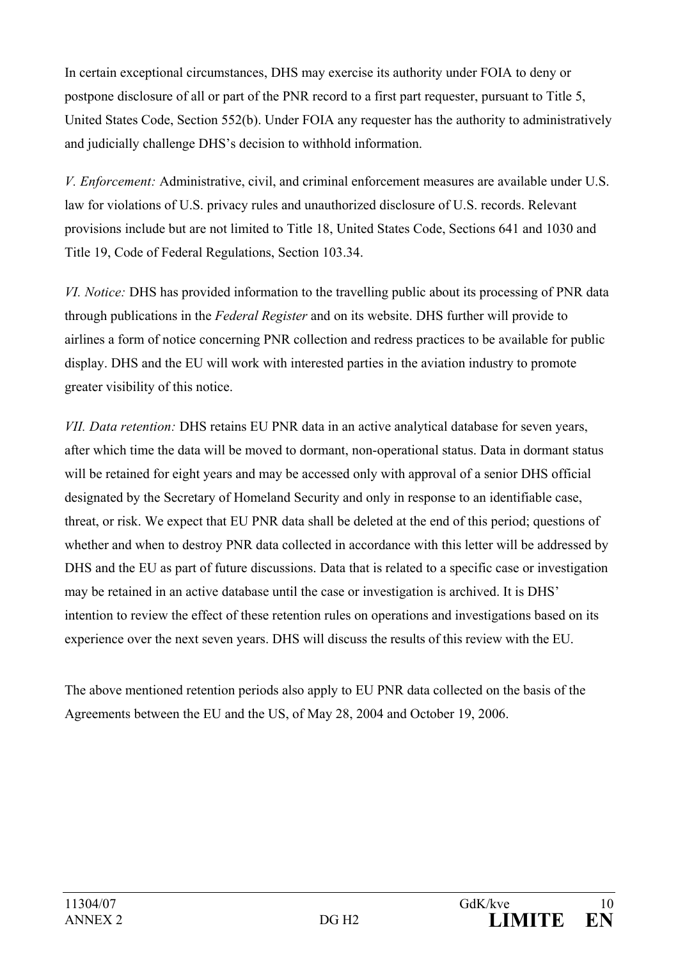In certain exceptional circumstances, DHS may exercise its authority under FOIA to deny or postpone disclosure of all or part of the PNR record to a first part requester, pursuant to Title 5, United States Code, Section 552(b). Under FOIA any requester has the authority to administratively and judicially challenge DHS's decision to withhold information.

*V. Enforcement:* Administrative, civil, and criminal enforcement measures are available under U.S. law for violations of U.S. privacy rules and unauthorized disclosure of U.S. records. Relevant provisions include but are not limited to Title 18, United States Code, Sections 641 and 1030 and Title 19, Code of Federal Regulations, Section 103.34.

*VI. Notice:* DHS has provided information to the travelling public about its processing of PNR data through publications in the *Federal Register* and on its website. DHS further will provide to airlines a form of notice concerning PNR collection and redress practices to be available for public display. DHS and the EU will work with interested parties in the aviation industry to promote greater visibility of this notice.

*VII. Data retention:* DHS retains EU PNR data in an active analytical database for seven years, after which time the data will be moved to dormant, non-operational status. Data in dormant status will be retained for eight years and may be accessed only with approval of a senior DHS official designated by the Secretary of Homeland Security and only in response to an identifiable case, threat, or risk. We expect that EU PNR data shall be deleted at the end of this period; questions of whether and when to destroy PNR data collected in accordance with this letter will be addressed by DHS and the EU as part of future discussions. Data that is related to a specific case or investigation may be retained in an active database until the case or investigation is archived. It is DHS' intention to review the effect of these retention rules on operations and investigations based on its experience over the next seven years. DHS will discuss the results of this review with the EU.

The above mentioned retention periods also apply to EU PNR data collected on the basis of the Agreements between the EU and the US, of May 28, 2004 and October 19, 2006.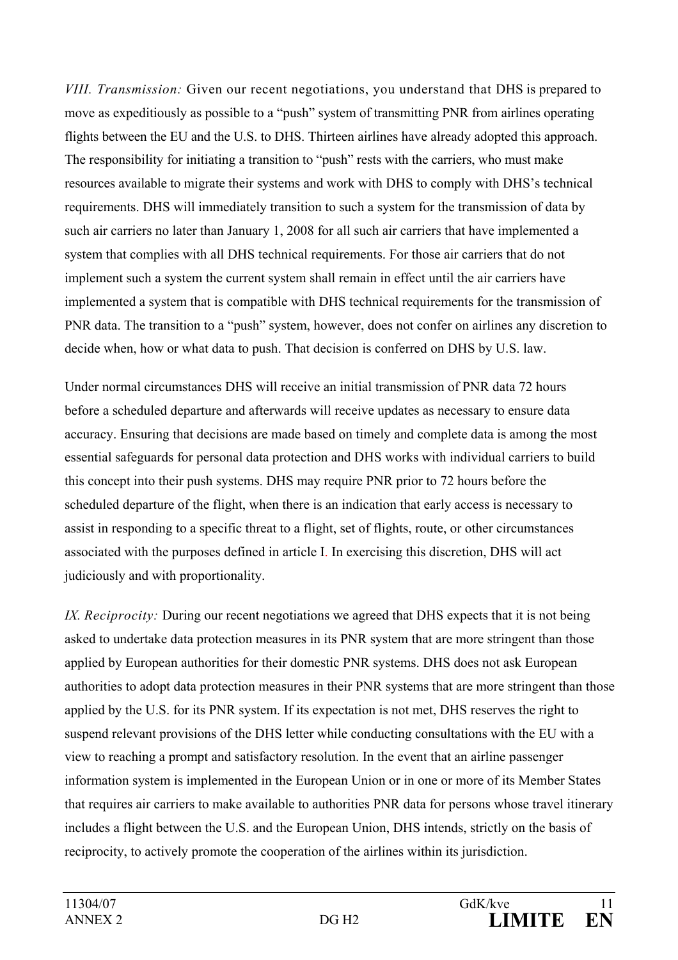*VIII. Transmission:* Given our recent negotiations, you understand that DHS is prepared to move as expeditiously as possible to a "push" system of transmitting PNR from airlines operating flights between the EU and the U.S. to DHS. Thirteen airlines have already adopted this approach. The responsibility for initiating a transition to "push" rests with the carriers, who must make resources available to migrate their systems and work with DHS to comply with DHS's technical requirements. DHS will immediately transition to such a system for the transmission of data by such air carriers no later than January 1, 2008 for all such air carriers that have implemented a system that complies with all DHS technical requirements. For those air carriers that do not implement such a system the current system shall remain in effect until the air carriers have implemented a system that is compatible with DHS technical requirements for the transmission of PNR data. The transition to a "push" system, however, does not confer on airlines any discretion to decide when, how or what data to push. That decision is conferred on DHS by U.S. law.

Under normal circumstances DHS will receive an initial transmission of PNR data 72 hours before a scheduled departure and afterwards will receive updates as necessary to ensure data accuracy. Ensuring that decisions are made based on timely and complete data is among the most essential safeguards for personal data protection and DHS works with individual carriers to build this concept into their push systems. DHS may require PNR prior to 72 hours before the scheduled departure of the flight, when there is an indication that early access is necessary to assist in responding to a specific threat to a flight, set of flights, route, or other circumstances associated with the purposes defined in article I. In exercising this discretion, DHS will act judiciously and with proportionality.

*IX. Reciprocity:* During our recent negotiations we agreed that DHS expects that it is not being asked to undertake data protection measures in its PNR system that are more stringent than those applied by European authorities for their domestic PNR systems. DHS does not ask European authorities to adopt data protection measures in their PNR systems that are more stringent than those applied by the U.S. for its PNR system. If its expectation is not met, DHS reserves the right to suspend relevant provisions of the DHS letter while conducting consultations with the EU with a view to reaching a prompt and satisfactory resolution. In the event that an airline passenger information system is implemented in the European Union or in one or more of its Member States that requires air carriers to make available to authorities PNR data for persons whose travel itinerary includes a flight between the U.S. and the European Union, DHS intends, strictly on the basis of reciprocity, to actively promote the cooperation of the airlines within its jurisdiction.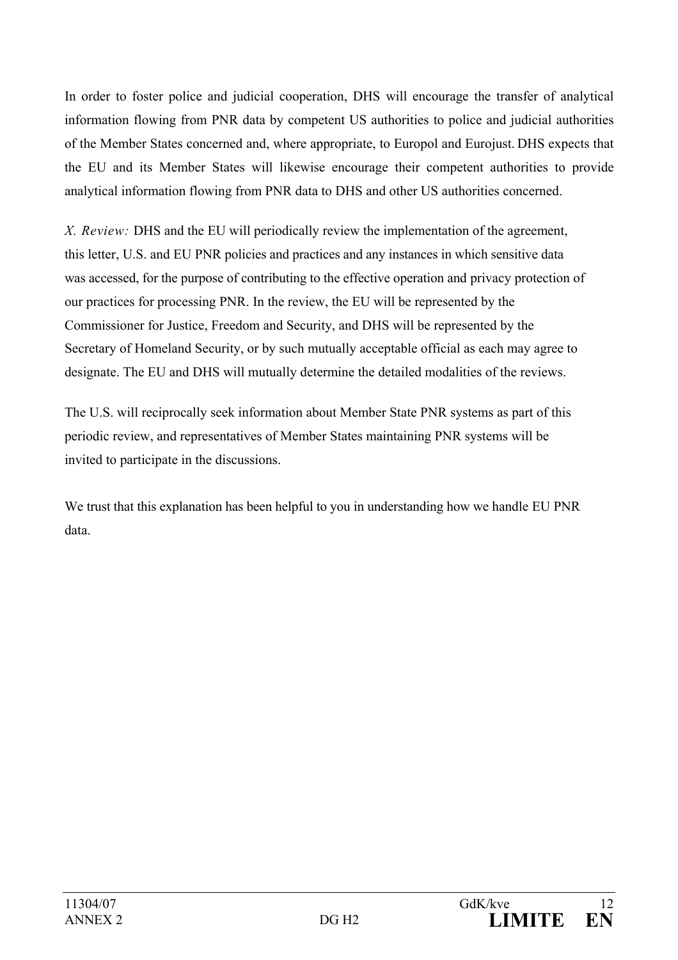In order to foster police and judicial cooperation, DHS will encourage the transfer of analytical information flowing from PNR data by competent US authorities to police and judicial authorities of the Member States concerned and, where appropriate, to Europol and Eurojust. DHS expects that the EU and its Member States will likewise encourage their competent authorities to provide analytical information flowing from PNR data to DHS and other US authorities concerned.

*X. Review:* DHS and the EU will periodically review the implementation of the agreement, this letter, U.S. and EU PNR policies and practices and any instances in which sensitive data was accessed, for the purpose of contributing to the effective operation and privacy protection of our practices for processing PNR. In the review, the EU will be represented by the Commissioner for Justice, Freedom and Security, and DHS will be represented by the Secretary of Homeland Security, or by such mutually acceptable official as each may agree to designate. The EU and DHS will mutually determine the detailed modalities of the reviews.

The U.S. will reciprocally seek information about Member State PNR systems as part of this periodic review, and representatives of Member States maintaining PNR systems will be invited to participate in the discussions.

We trust that this explanation has been helpful to you in understanding how we handle EU PNR data.